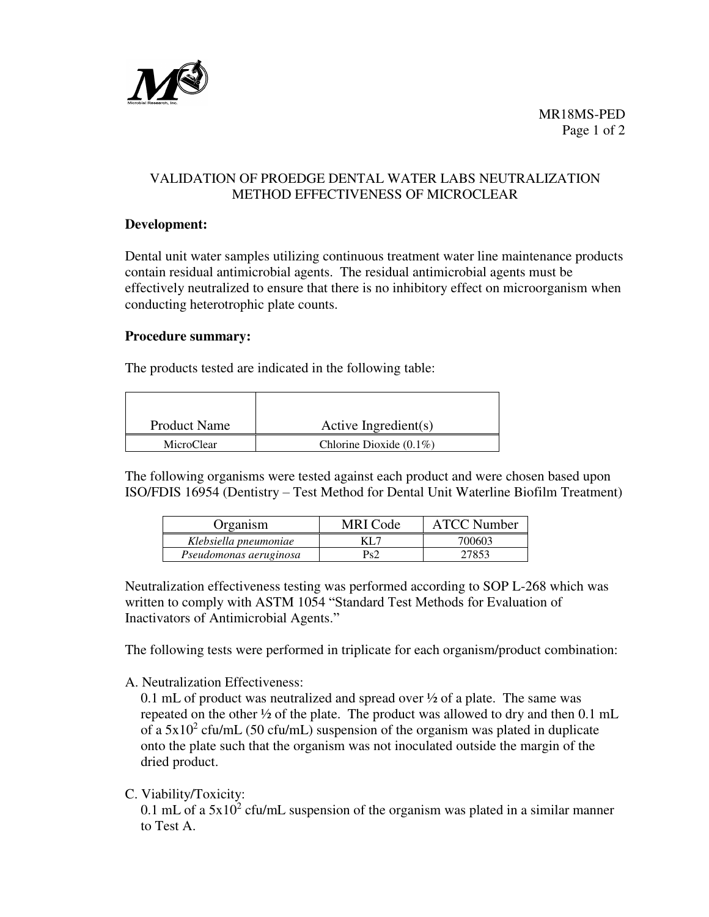

# VALIDATION OF PROEDGE DENTAL WATER LABS NEUTRALIZATION METHOD EFFECTIVENESS OF MICROCLEAR

### **Development:**

Dental unit water samples utilizing continuous treatment water line maintenance products contain residual antimicrobial agents. The residual antimicrobial agents must be effectively neutralized to ensure that there is no inhibitory effect on microorganism when conducting heterotrophic plate counts.

### **Procedure summary:**

The products tested are indicated in the following table:

| <b>Product Name</b> | Active Ingredient(s)       |
|---------------------|----------------------------|
| MicroClear          | Chlorine Dioxide $(0.1\%)$ |

The following organisms were tested against each product and were chosen based upon ISO/FDIS 16954 (Dentistry – Test Method for Dental Unit Waterline Biofilm Treatment)

| Organism               | MRI Code | <b>ATCC Number</b> |
|------------------------|----------|--------------------|
| Klebsiella pneumoniae  | KL 7     | 700603             |
| Pseudomonas aeruginosa | Ps2      | 27853              |

Neutralization effectiveness testing was performed according to SOP L-268 which was written to comply with ASTM 1054 "Standard Test Methods for Evaluation of Inactivators of Antimicrobial Agents."

The following tests were performed in triplicate for each organism/product combination:

A. Neutralization Effectiveness:

0.1 mL of product was neutralized and spread over ½ of a plate. The same was repeated on the other ½ of the plate. The product was allowed to dry and then 0.1 mL of a  $5x10^2$  cfu/mL (50 cfu/mL) suspension of the organism was plated in duplicate onto the plate such that the organism was not inoculated outside the margin of the dried product.

C. Viability/Toxicity:

0.1 mL of a  $5x10^2$  cfu/mL suspension of the organism was plated in a similar manner to Test A.